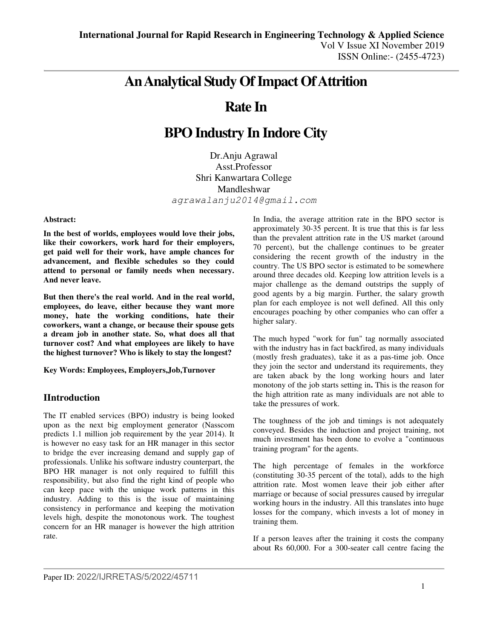# **An Analytical Study Of Impact Of Attrition**

# **Rate In**

# **BPO Industry In Indore City**

Dr.Anju Agrawal Asst.Professor Shri Kanwartara College Mandleshwar *[agrawalanju2014@gmail.com](mailto:agrawalanju2014@gmail.com)*

#### **Abstract:**

**In the best of worlds, employees would love their jobs, like their coworkers, work hard for their employers, get paid well for their work, have ample chances for advancement, and flexible schedules so they could attend to personal or family needs when necessary. And never leave.** 

**But then there's the real world. And in the real world, employees, do leave, either because they want more money, hate the working conditions, hate their coworkers, want a change, or because their spouse gets a dream job in another state. So, what does all that turnover cost? And what employees are likely to have the highest turnover? Who is likely to stay the longest?** 

**Key Words: Employees, Employers,Job,Turnover** 

## **IIntroduction**

The IT enabled services (BPO) industry is being looked upon as the next big employment generator (Nasscom predicts 1.1 million job requirement by the year 2014). It is however no easy task for an HR manager in this sector to bridge the ever increasing demand and supply gap of professionals. Unlike his software industry counterpart, the BPO HR manager is not only required to fulfill this responsibility, but also find the right kind of people who can keep pace with the unique work patterns in this industry. Adding to this is the issue of maintaining consistency in performance and keeping the motivation levels high, despite the monotonous work. The toughest concern for an HR manager is however the high attrition rate.

In India, the average attrition rate in the BPO sector is approximately 30-35 percent. It is true that this is far less than the prevalent attrition rate in the US market (around 70 percent), but the challenge continues to be greater considering the recent growth of the industry in the country. The US BPO sector is estimated to be somewhere around three decades old. Keeping low attrition levels is a major challenge as the demand outstrips the supply of good agents by a big margin. Further, the salary growth plan for each employee is not well defined. All this only encourages poaching by other companies who can offer a higher salary.

The much hyped "work for fun" tag normally associated with the industry has in fact backfired, as many individuals (mostly fresh graduates), take it as a pas-time job. Once they join the sector and understand its requirements, they are taken aback by the long working hours and later monotony of the job starts setting in**.** This is the reason for the high attrition rate as many individuals are not able to take the pressures of work.

The toughness of the job and timings is not adequately conveyed. Besides the induction and project training, not much investment has been done to evolve a "continuous training program" for the agents.

The high percentage of females in the workforce (constituting 30-35 percent of the total), adds to the high attrition rate. Most women leave their job either after marriage or because of social pressures caused by irregular working hours in the industry. All this translates into huge losses for the company, which invests a lot of money in training them.

If a person leaves after the training it costs the company about Rs 60,000. For a 300-seater call centre facing the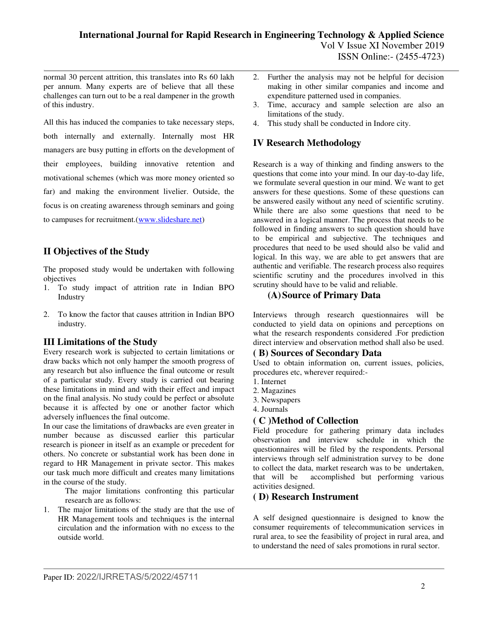normal 30 percent attrition, this translates into Rs 60 lakh per annum. Many experts are of believe that all these challenges can turn out to be a real dampener in the growth of this industry.

All this has induced the companies to take necessary steps, both internally and externally. Internally most HR managers are busy putting in efforts on the development of their employees, building innovative retention and motivational schemes (which was more money oriented so far) and making the environment livelier. Outside, the focus is on creating awareness through seminars and going to campuses for recruitment.[\(www.slideshare.net\)](http://www.slideshare.net/)

# **II Objectives of the Study**

The proposed study would be undertaken with following objectives

- 1. To study impact of attrition rate in Indian BPO Industry
- 2. To know the factor that causes attrition in Indian BPO industry.

# **III Limitations of the Study**

Every research work is subjected to certain limitations or draw backs which not only hamper the smooth progress of any research but also influence the final outcome or result of a particular study. Every study is carried out bearing these limitations in mind and with their effect and impact on the final analysis. No study could be perfect or absolute because it is affected by one or another factor which adversely influences the final outcome.

In our case the limitations of drawbacks are even greater in number because as discussed earlier this particular research is pioneer in itself as an example or precedent for others. No concrete or substantial work has been done in regard to HR Management in private sector. This makes our task much more difficult and creates many limitations in the course of the study.

The major limitations confronting this particular research are as follows:

1. The major limitations of the study are that the use of HR Management tools and techniques is the internal circulation and the information with no excess to the outside world.

- 2. Further the analysis may not be helpful for decision making in other similar companies and income and expenditure patterned used in companies.
- 3. Time, accuracy and sample selection are also an limitations of the study.
- 4. This study shall be conducted in Indore city.

# **IV Research Methodology**

Research is a way of thinking and finding answers to the questions that come into your mind. In our day-to-day life, we formulate several question in our mind. We want to get answers for these questions. Some of these questions can be answered easily without any need of scientific scrutiny. While there are also some questions that need to be answered in a logical manner. The process that needs to be followed in finding answers to such question should have to be empirical and subjective. The techniques and procedures that need to be used should also be valid and logical. In this way, we are able to get answers that are authentic and verifiable. The research process also requires scientific scrutiny and the procedures involved in this scrutiny should have to be valid and reliable.

# **(A)Source of Primary Data**

Interviews through research questionnaires will be conducted to yield data on opinions and perceptions on what the research respondents considered .For prediction direct interview and observation method shall also be used.

## **( B) Sources of Secondary Data**

Used to obtain information on, current issues, policies, procedures etc, wherever required:-

- 1. Internet
- 2. Magazines
- 3. Newspapers
- 4. Journals

# **( C )Method of Collection**

Field procedure for gathering primary data includes observation and interview schedule in which the questionnaires will be filed by the respondents. Personal interviews through self administration survey to be done to collect the data, market research was to be undertaken, that will be accomplished but performing various activities designed.

# **( D) Research Instrument**

A self designed questionnaire is designed to know the consumer requirements of telecommunication services in rural area, to see the feasibility of project in rural area, and to understand the need of sales promotions in rural sector.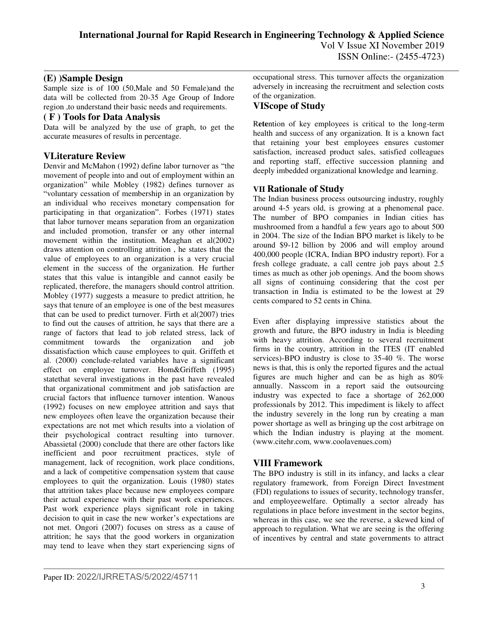## **(E) )Sample Design**

Sample size is of 100 (50,Male and 50 Female)and the data will be collected from 20-35 Age Group of Indore region ,to understand their basic needs and requirements.

#### **( F ) Tools for Data Analysis**

Data will be analyzed by the use of graph, to get the accurate measures of results in percentage.

# **VLiterature Review**

Denvir and McMahon (1992) define labor turnover as "the movement of people into and out of employment within an organization" while Mobley (1982) defines turnover as "voluntary cessation of membership in an organization by an individual who receives monetary compensation for participating in that organization". Forbes (1971) states that labor turnover means separation from an organization and included promotion, transfer or any other internal movement within the institution. Meaghan et al(2002) draws attention on controlling attrition , he states that the value of employees to an organization is a very crucial element in the success of the organization. He further states that this value is intangible and cannot easily be replicated, therefore, the managers should control attrition. Mobley (1977) suggests a measure to predict attrition, he says that tenure of an employee is one of the best measures that can be used to predict turnover. Firth et  $al(2007)$  tries to find out the causes of attrition, he says that there are a range of factors that lead to job related stress, lack of commitment towards the organization and job dissatisfaction which cause employees to quit. Griffeth et al. (2000) conclude-related variables have a significant effect on employee turnover. Hom&Griffeth (1995) statethat several investigations in the past have revealed that organizational commitment and job satisfaction are crucial factors that influence turnover intention. Wanous (1992) focuses on new employee attrition and says that new employees often leave the organization because their expectations are not met which results into a violation of their psychological contract resulting into turnover. Abassietal (2000) conclude that there are other factors like inefficient and poor recruitment practices, style of management, lack of recognition, work place conditions, and a lack of competitive compensation system that cause employees to quit the organization. Louis (1980) states that attrition takes place because new employees compare their actual experience with their past work experiences. Past work experience plays significant role in taking decision to quit in case the new worker's expectations are not met. Ongori (2007) focuses on stress as a cause of attrition; he says that the good workers in organization may tend to leave when they start experiencing signs of

occupational stress. This turnover affects the organization adversely in increasing the recruitment and selection costs of the organization.

# **VIScope of Study**

R**ete**ntion of key employees is critical to the long-term health and success of any organization. It is a known fact that retaining your best employees ensures customer satisfaction, increased product sales, satisfied colleagues and reporting staff, effective succession planning and deeply imbedded organizational knowledge and learning.

## **VII Rationale of Study**

The Indian business process outsourcing industry, roughly around 4-5 years old, is growing at a phenomenal pace. The number of BPO companies in Indian cities has mushroomed from a handful a few years ago to about 500 in 2004. The size of the Indian BPO market is likely to be around \$9-12 billion by 2006 and will employ around 400,000 people (ICRA, Indian BPO industry report). For a fresh college graduate, a call centre job pays about 2.5 times as much as other job openings. And the boom shows all signs of continuing considering that the cost per transaction in India is estimated to be the lowest at 29 cents compared to 52 cents in China.

Even after displaying impressive statistics about the growth and future, the BPO industry in India is bleeding with heavy attrition. According to several recruitment firms in the country, attrition in the ITES (IT enabled services)-BPO industry is close to 35-40 %. The worse news is that, this is only the reported figures and the actual figures are much higher and can be as high as 80% annually. Nasscom in a report said the outsourcing industry was expected to face a shortage of 262,000 professionals by 2012. This impediment is likely to affect the industry severely in the long run by creating a man power shortage as well as bringing up the cost arbitrage on which the Indian industry is playing at the moment. (www.citehr.com, www.coolavenues.com)

## **VIII Framework**

The BPO industry is still in its infancy, and lacks a clear regulatory framework, from Foreign Direct Investment (FDI) regulations to issues of security, technology transfer, and employeewelfare. Optimally a sector already has regulations in place before investment in the sector begins, whereas in this case, we see the reverse, a skewed kind of approach to regulation. What we are seeing is the offering of incentives by central and state governments to attract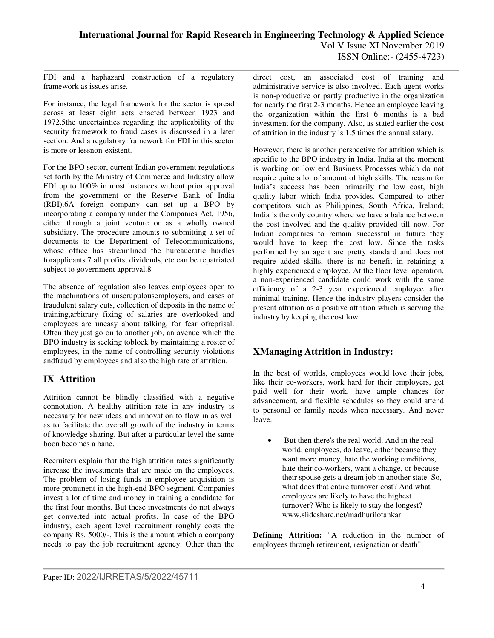FDI and a haphazard construction of a regulatory framework as issues arise.

For instance, the legal framework for the sector is spread across at least eight acts enacted between 1923 and 1972.5the uncertainties regarding the applicability of the security framework to fraud cases is discussed in a later section. And a regulatory framework for FDI in this sector is more or lessnon-existent.

For the BPO sector, current Indian government regulations set forth by the Ministry of Commerce and Industry allow FDI up to 100% in most instances without prior approval from the government or the Reserve Bank of India (RBI).6A foreign company can set up a BPO by incorporating a company under the Companies Act, 1956, either through a joint venture or as a wholly owned subsidiary. The procedure amounts to submitting a set of documents to the Department of Telecommunications, whose office has streamlined the bureaucratic hurdles forapplicants.7 all profits, dividends, etc can be repatriated subject to government approval.8

The absence of regulation also leaves employees open to the machinations of unscrupulousemployers, and cases of fraudulent salary cuts, collection of deposits in the name of training,arbitrary fixing of salaries are overlooked and employees are uneasy about talking, for fear ofreprisal. Often they just go on to another job, an avenue which the BPO industry is seeking toblock by maintaining a roster of employees, in the name of controlling security violations andfraud by employees and also the high rate of attrition.

# **IX Attrition**

Attrition cannot be blindly classified with a negative connotation. A healthy attrition rate in any industry is necessary for new ideas and innovation to flow in as well as to facilitate the overall growth of the industry in terms of knowledge sharing. But after a particular level the same boon becomes a bane.

Recruiters explain that the high attrition rates significantly increase the investments that are made on the employees. The problem of losing funds in employee acquisition is more prominent in the high-end BPO segment. Companies invest a lot of time and money in training a candidate for the first four months. But these investments do not always get converted into actual profits. In case of the BPO industry, each agent level recruitment roughly costs the company Rs. 5000/-. This is the amount which a company needs to pay the job recruitment agency. Other than the direct cost, an associated cost of training and administrative service is also involved. Each agent works is non-productive or partly productive in the organization for nearly the first 2-3 months. Hence an employee leaving the organization within the first 6 months is a bad investment for the company. Also, as stated earlier the cost of attrition in the industry is 1.5 times the annual salary.

However, there is another perspective for attrition which is specific to the BPO industry in India. India at the moment is working on low end Business Processes which do not require quite a lot of amount of high skills. The reason for India's success has been primarily the low cost, high quality labor which India provides. Compared to other competitors such as Philippines, South Africa, Ireland; India is the only country where we have a balance between the cost involved and the quality provided till now. For Indian companies to remain successful in future they would have to keep the cost low. Since the tasks performed by an agent are pretty standard and does not require added skills, there is no benefit in retaining a highly experienced employee. At the floor level operation, a non-experienced candidate could work with the same efficiency of a 2-3 year experienced employee after minimal training. Hence the industry players consider the present attrition as a positive attrition which is serving the industry by keeping the cost low.

# **XManaging Attrition in Industry:**

In the best of worlds, employees would love their jobs, like their co-workers, work hard for their employers, get paid well for their work, have ample chances for advancement, and flexible schedules so they could attend to personal or family needs when necessary. And never leave.

 But then there's the real world. And in the real world, employees, do leave, either because they want more money, hate the working conditions, hate their co-workers, want a change, or because their spouse gets a dream job in another state. So, what does that entire turnover cost? And what employees are likely to have the highest turnover? Who is likely to stay the longest? www.slideshare.net/madhurilotankar

**Defining Attrition:** "A reduction in the number of employees through retirement, resignation or death".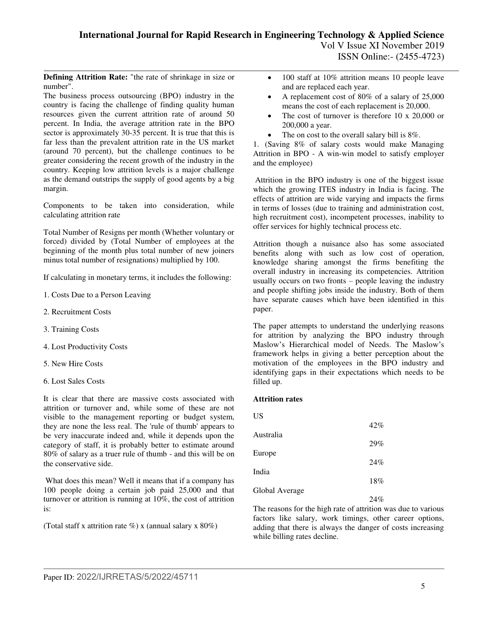**Defining Attrition Rate:** "the rate of shrinkage in size or number".

The business process outsourcing (BPO) industry in the country is facing the challenge of finding quality human resources given the current attrition rate of around 50 percent. In India, the average attrition rate in the BPO sector is approximately 30-35 percent. It is true that this is far less than the prevalent attrition rate in the US market (around 70 percent), but the challenge continues to be greater considering the recent growth of the industry in the country. Keeping low attrition levels is a major challenge as the demand outstrips the supply of good agents by a big margin.

Components to be taken into consideration, while calculating attrition rate

Total Number of Resigns per month (Whether voluntary or forced) divided by (Total Number of employees at the beginning of the month plus total number of new joiners minus total number of resignations) multiplied by 100.

If calculating in monetary terms, it includes the following:

- 1. Costs Due to a Person Leaving
- 2. Recruitment Costs
- 3. Training Costs
- 4. Lost Productivity Costs
- 5. New Hire Costs
- 6. Lost Sales Costs

It is clear that there are massive costs associated with attrition or turnover and, while some of these are not visible to the management reporting or budget system, they are none the less real. The 'rule of thumb' appears to be very inaccurate indeed and, while it depends upon the category of staff, it is probably better to estimate around 80% of salary as a truer rule of thumb - and this will be on the conservative side.

 What does this mean? Well it means that if a company has 100 people doing a certain job paid 25,000 and that turnover or attrition is running at 10%, the cost of attrition is:

(Total staff x attrition rate %) x (annual salary x  $80\%$ )

- 100 staff at 10% attrition means 10 people leave and are replaced each year.
- A replacement cost of 80% of a salary of 25,000 means the cost of each replacement is 20,000.
- The cost of turnover is therefore 10 x 20,000 or 200,000 a year.
- The on cost to the overall salary bill is 8%.

1. (Saving 8% of salary costs would make Managing Attrition in BPO - A win-win model to satisfy employer and the employee)

 Attrition in the BPO industry is one of the biggest issue which the growing ITES industry in India is facing. The effects of attrition are wide varying and impacts the firms in terms of losses (due to training and administration cost, high recruitment cost), incompetent processes, inability to offer services for highly technical process etc.

Attrition though a nuisance also has some associated benefits along with such as low cost of operation, knowledge sharing amongst the firms benefiting the overall industry in increasing its competencies. Attrition usually occurs on two fronts – people leaving the industry and people shifting jobs inside the industry. Both of them have separate causes which have been identified in this paper.

The paper attempts to understand the underlying reasons for attrition by analyzing the BPO industry through Maslow's Hierarchical model of Needs. The Maslow's framework helps in giving a better perception about the motivation of the employees in the BPO industry and identifying gaps in their expectations which needs to be filled up.

#### **Attrition rates**

| US             |        |
|----------------|--------|
|                | $42\%$ |
| Australia      | 29%    |
| Europe         | 24%    |
| India          |        |
|                | 18%    |
| Global Average | 24%    |

The reasons for the high rate of attrition was due to various factors like salary, work timings, other career options, adding that there is always the danger of costs increasing while billing rates decline.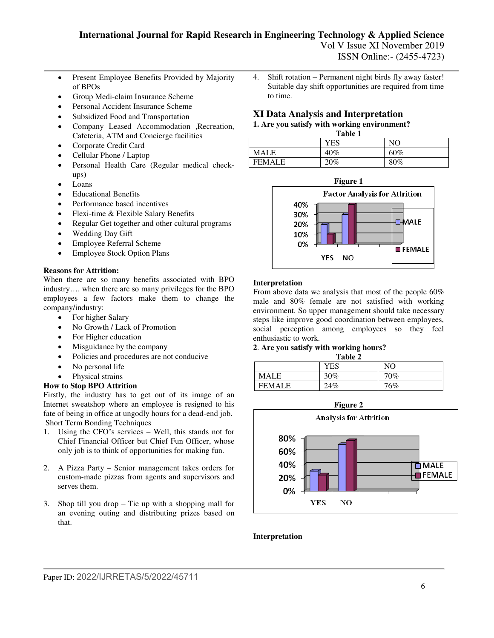Vol V Issue XI November 2019 ISSN Online:- (2455-4723)

- Present Employee Benefits Provided by Majority of BPOs
- Group Medi-claim Insurance Scheme
- Personal Accident Insurance Scheme
- Subsidized Food and Transportation
- Company Leased Accommodation ,Recreation, Cafeteria, ATM and Concierge facilities
- Corporate Credit Card
- Cellular Phone / Laptop
- Personal Health Care (Regular medical checkups)
- Loans
- Educational Benefits
- Performance based incentives
- Flexi-time & Flexible Salary Benefits
- Regular Get together and other cultural programs
- Wedding Day Gift
- Employee Referral Scheme
- Employee Stock Option Plans

## **Reasons for Attrition:**

When there are so many benefits associated with BPO industry…. when there are so many privileges for the BPO employees a few factors make them to change the company/industry:

- For higher Salary
- No Growth / Lack of Promotion
- For Higher education
- Misguidance by the company
- Policies and procedures are not conducive
- No personal life
- Physical strains

## **How to Stop BPO Attrition**

Firstly, the industry has to get out of its image of an Internet sweatshop where an employee is resigned to his fate of being in office at ungodly hours for a dead-end job. Short Term Bonding Techniques

- 1. Using the CFO's services Well, this stands not for Chief Financial Officer but Chief Fun Officer, whose only job is to think of opportunities for making fun.
- 2. A Pizza Party Senior management takes orders for custom-made pizzas from agents and supervisors and serves them.
- 3. Shop till you drop Tie up with a shopping mall for an evening outing and distributing prizes based on that.

4. Shift rotation – Permanent night birds fly away faster! Suitable day shift opportunities are required from time to time.

# **XI Data Analysis and Interpretation**

# **1. Are you satisfy with working environment?**

| Table 1       |     |        |
|---------------|-----|--------|
|               | YES | NO     |
| <b>MALE</b>   | 40% | 60%    |
| <b>FEMALE</b> | 20% | $80\%$ |



#### **Interpretation**

From above data we analysis that most of the people 60% male and 80% female are not satisfied with working environment. So upper management should take necessary steps like improve good coordination between employees, social perception among employees so they feel enthusiastic to work.

# **2**. **Are you satisfy with working hours?**

**Table 2** 

|               | YES | NO     |
|---------------|-----|--------|
| MALE          | 30% | $70\%$ |
| <b>FEMALE</b> | 24% | 76%    |



#### **Interpretation**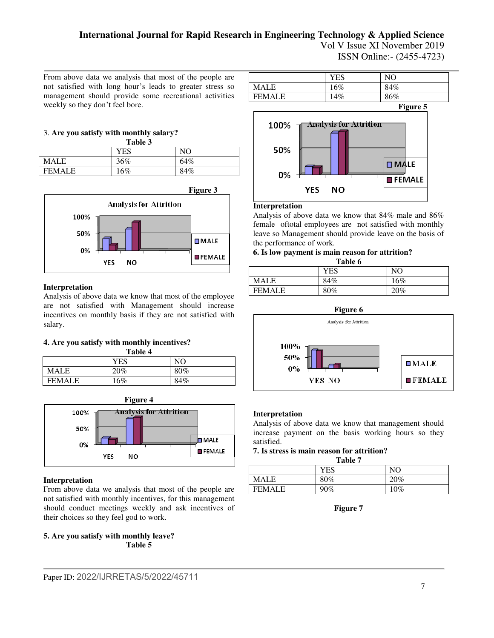Vol V Issue XI November 2019 ISSN Online:- (2455-4723)

From above data we analysis that most of the people are not satisfied with long hour's leads to greater stress so management should provide some recreational activities weekly so they don't feel bore.

#### 3. **Are you satisfy with monthly salary? Table 3**

| 1 avit J      |     |     |
|---------------|-----|-----|
|               | YES | NO  |
| MALE          | 36% | 64% |
| <b>FEMALE</b> | 16% | 84% |



## **Interpretation**

Analysis of above data we know that most of the employee are not satisfied with Management should increase incentives on monthly basis if they are not satisfied with salary.

## **4. Are you satisfy with monthly incentives?**

| Table 4 |  |
|---------|--|

| ------        |        |     |
|---------------|--------|-----|
|               | YES    | NO  |
| MALE          | $20\%$ | 80% |
| <b>FEMALE</b> | 16%    | 84% |





## **Interpretation**

From above data we analysis that most of the people are not satisfied with monthly incentives, for this management should conduct meetings weekly and ask incentives of their choices so they feel god to work.

**5. Are you satisfy with monthly leave? Table 5** 





#### **Interpretation**

Analysis of above data we know that 84% male and 86% female oftotal employees are not satisfied with monthly leave so Management should provide leave on the basis of the performance of work.

### **6. Is low payment is main reason for attrition?**

| Table 6       |        |                |
|---------------|--------|----------------|
|               | YES    | N <sub>O</sub> |
| <b>MALE</b>   | 84%    | $16\%$         |
| <b>FEMALE</b> | $80\%$ | 20%            |



#### **Interpretation**

Analysis of above data we know that management should increase payment on the basis working hours so they satisfied.

#### **7. Is stress is main reason for attrition? Table 7**

| rapie /       |        |     |
|---------------|--------|-----|
|               | YES    | NO  |
| <b>MALE</b>   | 80%    | 20% |
| <b>FEMALE</b> | $90\%$ | 10% |

**Figure 7**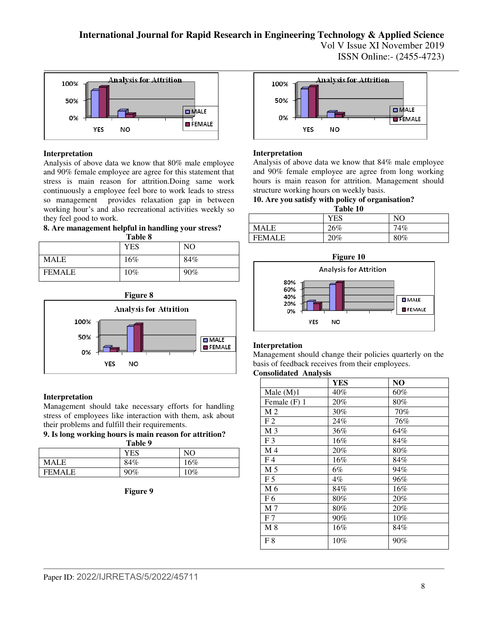Vol V Issue XI November 2019 ISSN Online:- (2455-4723)



#### **Interpretation**

Analysis of above data we know that 80% male employee and 90% female employee are agree for this statement that stress is main reason for attrition.Doing same work continuously a employee feel bore to work leads to stress so management provides relaxation gap in between working hour's and also recreational activities weekly so they feel good to work.

**8. Are management helpful in handling your stress? Table 8** 

|               | YES | NO  |
|---------------|-----|-----|
| <b>MALE</b>   | 16% | 84% |
| <b>FEMALE</b> | 10% | 90% |





#### **Interpretation**

Management should take necessary efforts for handling stress of employees like interaction with them, ask about their problems and fulfill their requirements.

**9. Is long working hours is main reason for attrition?** 

| Table 9       |        |     |
|---------------|--------|-----|
|               | YES    | NO  |
| <b>MALE</b>   | 84%    | 16% |
| <b>FEMALE</b> | $90\%$ | 10% |

**Figure 9** 



#### **Interpretation**

Analysis of above data we know that 84% male employee and 90% female employee are agree from long working hours is main reason for attrition. Management should structure working hours on weekly basis.

#### **10. Are you satisfy with policy of organisation? Table 10**

|               | __         |     |
|---------------|------------|-----|
|               | <b>YES</b> | NO  |
| MALE          | 26%        | 74% |
| <b>FEMALE</b> | 20%        | 80% |



## **Interpretation**

Management should change their policies quarterly on the basis of feedback receives from their employees.

#### **Consolidated Analysis**

|                | <b>YES</b> | N <sub>O</sub> |
|----------------|------------|----------------|
| Male $(M)1$    | 40%        | 60%            |
| Female (F) 1   | 20%        | 80%            |
| M <sub>2</sub> | 30%        | 70%            |
| F <sub>2</sub> | 24%        | 76%            |
| M <sub>3</sub> | 36%        | 64%            |
| F <sub>3</sub> | 16%        | 84%            |
| M <sub>4</sub> | 20%        | 80%            |
| F <sub>4</sub> | 16%        | 84%            |
| M 5            | 6%         | 94%            |
| F <sub>5</sub> | $4\%$      | 96%            |
| M 6            | 84%        | 16%            |
| F <sub>6</sub> | 80%        | 20%            |
| M <sub>7</sub> | 80%        | 20%            |
| F <sub>7</sub> | 90%        | $10\%$         |
| $M_8$          | 16%        | 84%            |
| F8             | 10%        | 90%            |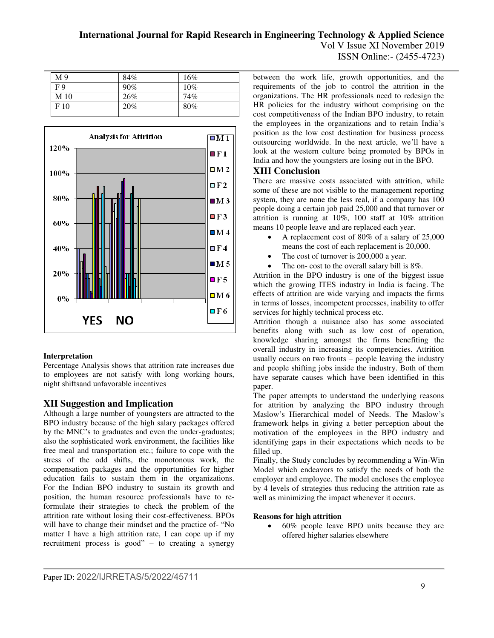Vol V Issue XI November 2019 ISSN Online:- (2455-4723)

| M <sub>9</sub>  | 84% | 16% |
|-----------------|-----|-----|
| F9              | 90% | 10% |
| M <sub>10</sub> | 26% | 74% |
| F <sub>10</sub> | 20% | 80% |
|                 |     |     |



#### **Interpretation**

Percentage Analysis shows that attrition rate increases due to employees are not satisfy with long working hours, night shiftsand unfavorable incentives

# **XII Suggestion and Implication**

Although a large number of youngsters are attracted to the BPO industry because of the high salary packages offered by the MNC's to graduates and even the under-graduates; also the sophisticated work environment, the facilities like free meal and transportation etc.; failure to cope with the stress of the odd shifts, the monotonous work, the compensation packages and the opportunities for higher education fails to sustain them in the organizations. For the Indian BPO industry to sustain its growth and position, the human resource professionals have to reformulate their strategies to check the problem of the attrition rate without losing their cost-effectiveness. BPOs will have to change their mindset and the practice of- "No matter I have a high attrition rate, I can cope up if my recruitment process is good" – to creating a synergy

between the work life, growth opportunities, and the requirements of the job to control the attrition in the organizations. The HR professionals need to redesign the HR policies for the industry without comprising on the cost competitiveness of the Indian BPO industry, to retain the employees in the organizations and to retain India's position as the low cost destination for business process outsourcing worldwide. In the next article, we'll have a look at the western culture being promoted by BPOs in India and how the youngsters are losing out in the BPO.

## **XIII Conclusion**

There are massive costs associated with attrition, while some of these are not visible to the management reporting system, they are none the less real, if a company has 100 people doing a certain job paid 25,000 and that turnover or attrition is running at 10%, 100 staff at 10% attrition means 10 people leave and are replaced each year.

- A replacement cost of 80% of a salary of 25,000 means the cost of each replacement is 20,000.
- The cost of turnover is 200,000 a year.
- The on- cost to the overall salary bill is 8%.

Attrition in the BPO industry is one of the biggest issue which the growing ITES industry in India is facing. The effects of attrition are wide varying and impacts the firms in terms of losses, incompetent processes, inability to offer services for highly technical process etc.

Attrition though a nuisance also has some associated benefits along with such as low cost of operation, knowledge sharing amongst the firms benefiting the overall industry in increasing its competencies. Attrition usually occurs on two fronts – people leaving the industry and people shifting jobs inside the industry. Both of them have separate causes which have been identified in this paper.

The paper attempts to understand the underlying reasons for attrition by analyzing the BPO industry through Maslow's Hierarchical model of Needs. The Maslow's framework helps in giving a better perception about the motivation of the employees in the BPO industry and identifying gaps in their expectations which needs to be filled up.

Finally, the Study concludes by recommending a Win-Win Model which endeavors to satisfy the needs of both the employer and employee. The model encloses the employee by 4 levels of strategies thus reducing the attrition rate as well as minimizing the impact whenever it occurs.

#### **Reasons for high attrition**

 60% people leave BPO units because they are offered higher salaries elsewhere